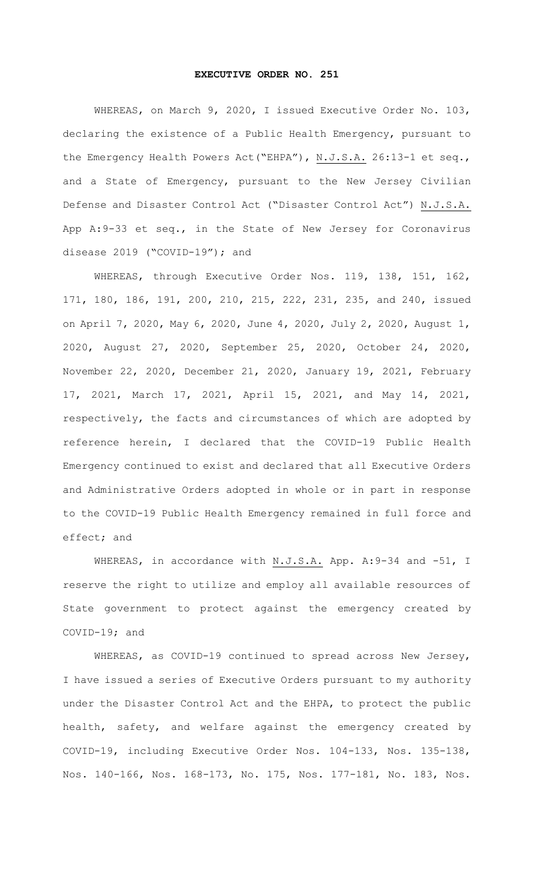## **EXECUTIVE ORDER NO. 251**

WHEREAS, on March 9, 2020, I issued Executive Order No. 103, declaring the existence of a Public Health Emergency, pursuant to the Emergency Health Powers Act("EHPA"), N.J.S.A. 26:13-1 et seq., and a State of Emergency, pursuant to the New Jersey Civilian Defense and Disaster Control Act ("Disaster Control Act") N.J.S.A. App A:9-33 et seq., in the State of New Jersey for Coronavirus disease 2019 ("COVID-19"); and

WHEREAS, through Executive Order Nos. 119, 138, 151, 162, 171, 180, 186, 191, 200, 210, 215, 222, 231, 235, and 240, issued on April 7, 2020, May 6, 2020, June 4, 2020, July 2, 2020, August 1, 2020, August 27, 2020, September 25, 2020, October 24, 2020, November 22, 2020, December 21, 2020, January 19, 2021, February 17, 2021, March 17, 2021, April 15, 2021, and May 14, 2021, respectively, the facts and circumstances of which are adopted by reference herein, I declared that the COVID-19 Public Health Emergency continued to exist and declared that all Executive Orders and Administrative Orders adopted in whole or in part in response to the COVID-19 Public Health Emergency remained in full force and effect; and

WHEREAS, in accordance with N.J.S.A. App. A: 9-34 and -51, I reserve the right to utilize and employ all available resources of State government to protect against the emergency created by COVID-19; and

WHEREAS, as COVID-19 continued to spread across New Jersey, I have issued a series of Executive Orders pursuant to my authority under the Disaster Control Act and the EHPA, to protect the public health, safety, and welfare against the emergency created by COVID-19, including Executive Order Nos. 104-133, Nos. 135-138, Nos. 140-166, Nos. 168-173, No. 175, Nos. 177-181, No. 183, Nos.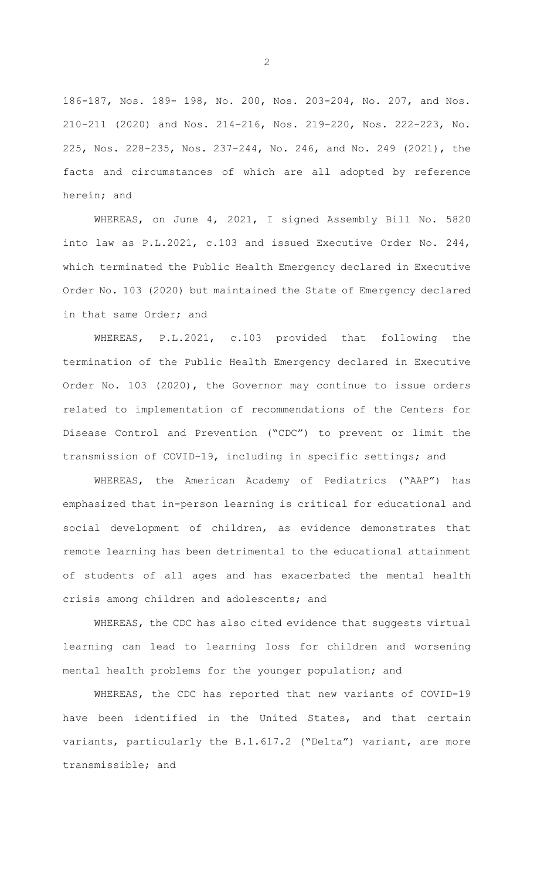186-187, Nos. 189- 198, No. 200, Nos. 203-204, No. 207, and Nos. 210-211 (2020) and Nos. 214-216, Nos. 219-220, Nos. 222-223, No. 225, Nos. 228-235, Nos. 237-244, No. 246, and No. 249 (2021), the facts and circumstances of which are all adopted by reference herein; and

WHEREAS, on June 4, 2021, I signed Assembly Bill No. 5820 into law as P.L.2021, c.103 and issued Executive Order No. 244, which terminated the Public Health Emergency declared in Executive Order No. 103 (2020) but maintained the State of Emergency declared in that same Order; and

WHEREAS, P.L.2021, c.103 provided that following the termination of the Public Health Emergency declared in Executive Order No. 103 (2020), the Governor may continue to issue orders related to implementation of recommendations of the Centers for Disease Control and Prevention ("CDC") to prevent or limit the transmission of COVID-19, including in specific settings; and

WHEREAS, the American Academy of Pediatrics ("AAP") has emphasized that in-person learning is critical for educational and social development of children, as evidence demonstrates that remote learning has been detrimental to the educational attainment of students of all ages and has exacerbated the mental health crisis among children and adolescents; and

WHEREAS, the CDC has also cited evidence that suggests virtual learning can lead to learning loss for children and worsening mental health problems for the younger population; and

WHEREAS, the CDC has reported that new variants of COVID-19 have been identified in the United States, and that certain variants, particularly the B.1.617.2 ("Delta") variant, are more transmissible; and

2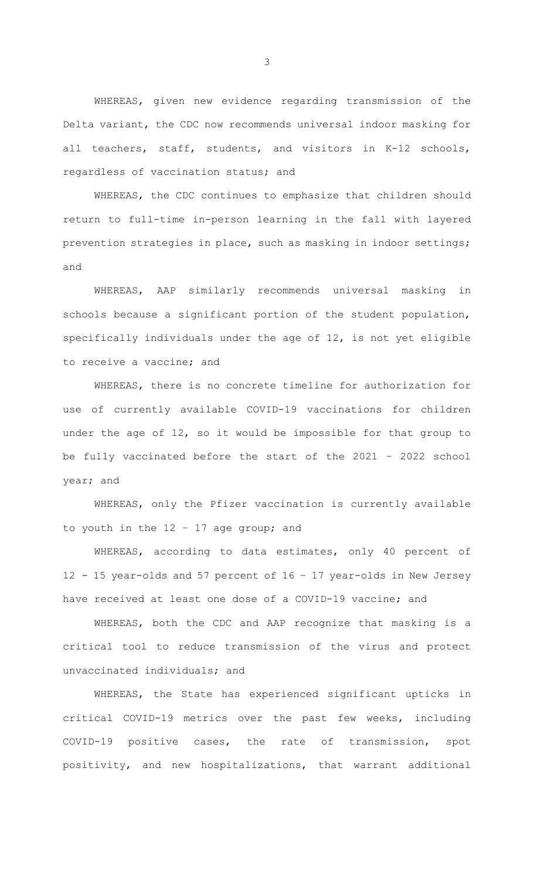WHEREAS, given new evidence regarding transmission of the Delta variant, the CDC now recommends universal indoor masking for all teachers, staff, students, and visitors in K-12 schools, regardless of vaccination status; and

WHEREAS, the CDC continues to emphasize that children should return to full-time in-person learning in the fall with layered prevention strategies in place, such as masking in indoor settings; and

WHEREAS, AAP similarly recommends universal masking in schools because a significant portion of the student population, specifically individuals under the age of 12, is not yet eligible to receive a vaccine; and

WHEREAS, there is no concrete timeline for authorization for use of currently available COVID-19 vaccinations for children under the age of 12, so it would be impossible for that group to be fully vaccinated before the start of the 2021 – 2022 school year; and

WHEREAS, only the Pfizer vaccination is currently available to youth in the 12 – 17 age group; and

WHEREAS, according to data estimates, only 40 percent of 12 - 15 year-olds and 57 percent of 16 – 17 year-olds in New Jersey have received at least one dose of a COVID-19 vaccine; and

WHEREAS, both the CDC and AAP recognize that masking is a critical tool to reduce transmission of the virus and protect unvaccinated individuals; and

WHEREAS, the State has experienced significant upticks in critical COVID-19 metrics over the past few weeks, including COVID-19 positive cases, the rate of transmission, spot positivity, and new hospitalizations, that warrant additional

3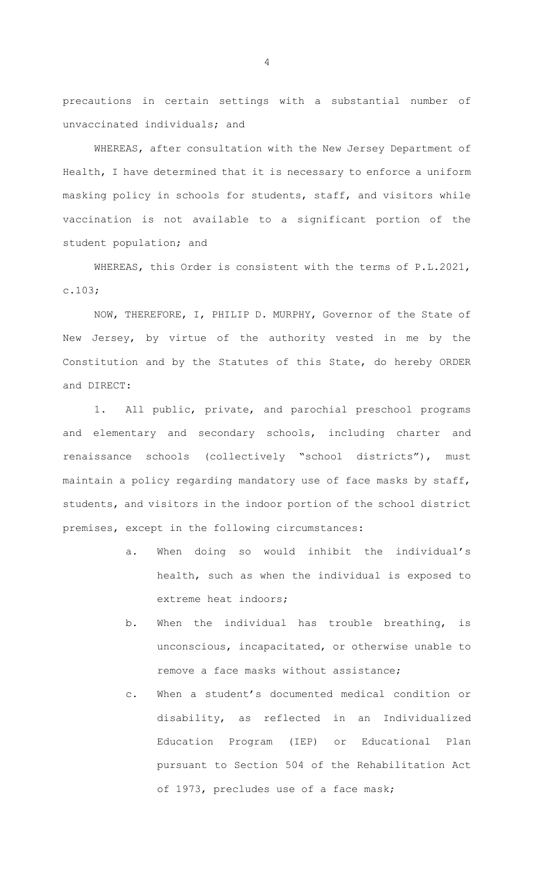precautions in certain settings with a substantial number of unvaccinated individuals; and

WHEREAS, after consultation with the New Jersey Department of Health, I have determined that it is necessary to enforce a uniform masking policy in schools for students, staff, and visitors while vaccination is not available to a significant portion of the student population; and

WHEREAS, this Order is consistent with the terms of P.L.2021, c.103;

NOW, THEREFORE, I, PHILIP D. MURPHY, Governor of the State of New Jersey, by virtue of the authority vested in me by the Constitution and by the Statutes of this State, do hereby ORDER and DIRECT:

1. All public, private, and parochial preschool programs and elementary and secondary schools, including charter and renaissance schools (collectively "school districts"), must maintain a policy regarding mandatory use of face masks by staff, students, and visitors in the indoor portion of the school district premises, except in the following circumstances:

- a. When doing so would inhibit the individual's health, such as when the individual is exposed to extreme heat indoors;
- b. When the individual has trouble breathing, is unconscious, incapacitated, or otherwise unable to remove a face masks without assistance;
- c. When a student's documented medical condition or disability, as reflected in an Individualized Education Program (IEP) or Educational Plan pursuant to Section 504 of the Rehabilitation Act of 1973, precludes use of a face mask;

4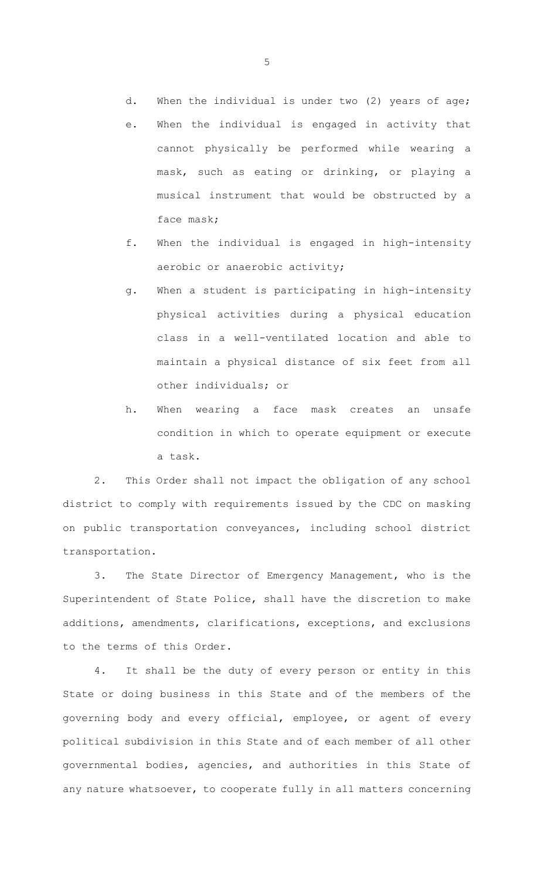d. When the individual is under two (2) years of age;

- e. When the individual is engaged in activity that cannot physically be performed while wearing a mask, such as eating or drinking, or playing a musical instrument that would be obstructed by a face mask;
- f. When the individual is engaged in high-intensity aerobic or anaerobic activity;
- g. When a student is participating in high-intensity physical activities during a physical education class in a well-ventilated location and able to maintain a physical distance of six feet from all other individuals; or
- h. When wearing a face mask creates an unsafe condition in which to operate equipment or execute a task.

2. This Order shall not impact the obligation of any school district to comply with requirements issued by the CDC on masking on public transportation conveyances, including school district transportation.

3. The State Director of Emergency Management, who is the Superintendent of State Police, shall have the discretion to make additions, amendments, clarifications, exceptions, and exclusions to the terms of this Order.

4. It shall be the duty of every person or entity in this State or doing business in this State and of the members of the governing body and every official, employee, or agent of every political subdivision in this State and of each member of all other governmental bodies, agencies, and authorities in this State of any nature whatsoever, to cooperate fully in all matters concerning